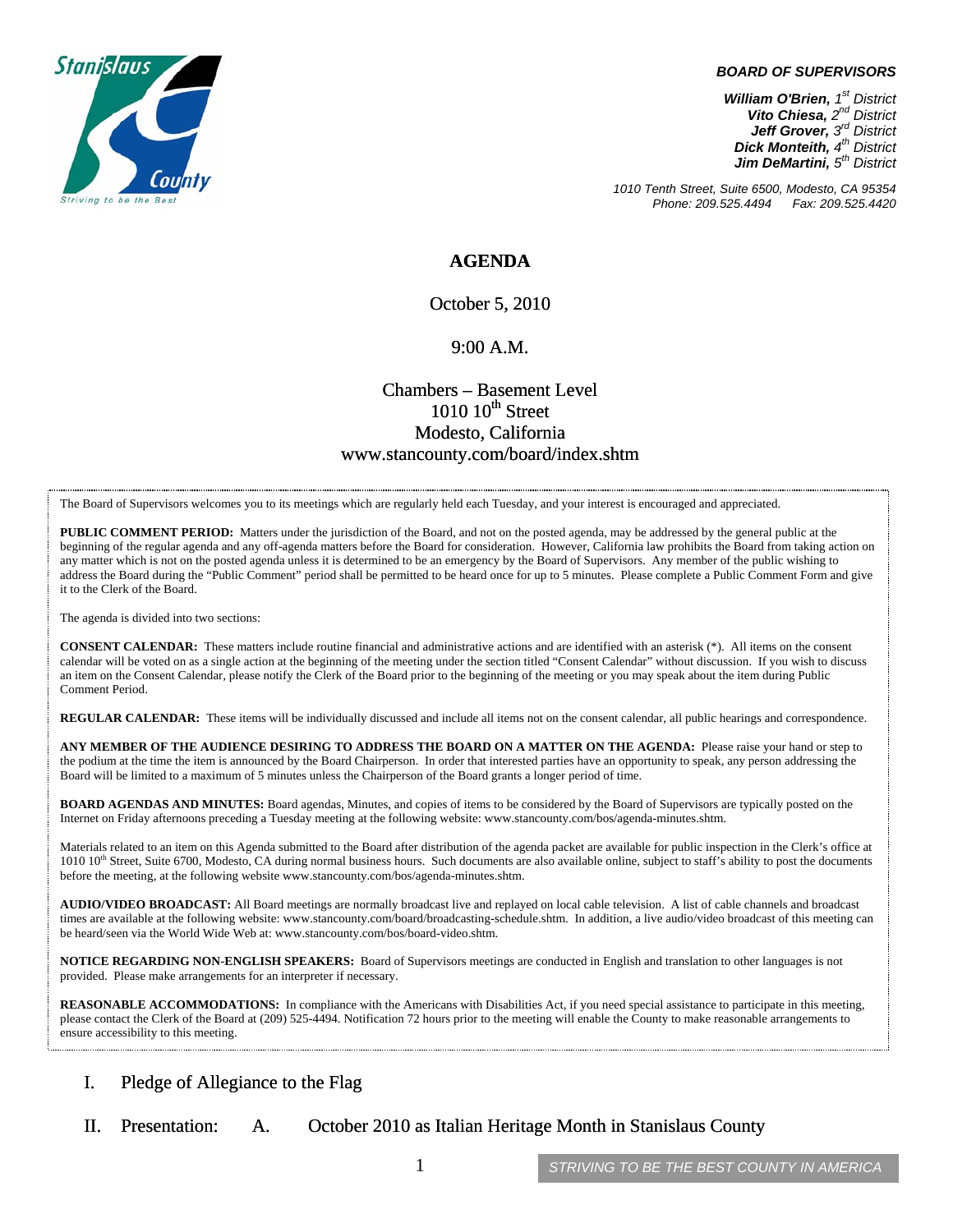

#### *BOARD OF SUPERVISORS*

*William O'Brien, 1st District Vito Chiesa, 2nd District Jeff Grover, 3rd District Dick Monteith, 4th District Jim DeMartini, 5th District*

*1010 Tenth Street, Suite 6500, Modesto, CA 95354 Phone: 209.525.4494* 

### **AGENDA**

October 5, 2010

#### 9:00 A.M.

## Chambers – Basement Level  $1010~10$ <sup>th</sup> Street Modesto, California www.stancounty.com/board/index.shtm

The Board of Supervisors welcomes you to its meetings which are regularly held each Tuesday, and your interest is encouraged and appreciated.

**PUBLIC COMMENT PERIOD:** Matters under the jurisdiction of the Board, and not on the posted agenda, may be addressed by the general public at the beginning of the regular agenda and any off-agenda matters before the Board for consideration. However, California law prohibits the Board from taking action on any matter which is not on the posted agenda unless it is determined to be an emergency by the Board of Supervisors. Any member of the public wishing to address the Board during the "Public Comment" period shall be permitted to be heard once for up to 5 minutes. Please complete a Public Comment Form and give it to the Clerk of the Board.

The agenda is divided into two sections:

**CONSENT CALENDAR:** These matters include routine financial and administrative actions and are identified with an asterisk (\*). All items on the consent calendar will be voted on as a single action at the beginning of the meeting under the section titled "Consent Calendar" without discussion. If you wish to discuss an item on the Consent Calendar, please notify the Clerk of the Board prior to the beginning of the meeting or you may speak about the item during Public Comment Period.

**REGULAR CALENDAR:** These items will be individually discussed and include all items not on the consent calendar, all public hearings and correspondence.

**ANY MEMBER OF THE AUDIENCE DESIRING TO ADDRESS THE BOARD ON A MATTER ON THE AGENDA:** Please raise your hand or step to the podium at the time the item is announced by the Board Chairperson. In order that interested parties have an opportunity to speak, any person addressing the Board will be limited to a maximum of 5 minutes unless the Chairperson of the Board grants a longer period of time.

**BOARD AGENDAS AND MINUTES:** Board agendas, Minutes, and copies of items to be considered by the Board of Supervisors are typically posted on the Internet on Friday afternoons preceding a Tuesday meeting at the following website: www.stancounty.com/bos/agenda-minutes.shtm.

Materials related to an item on this Agenda submitted to the Board after distribution of the agenda packet are available for public inspection in the Clerk's office at 1010 10<sup>th</sup> Street, Suite 6700, Modesto, CA during normal business hours. Such documents are also available online, subject to staff's ability to post the documents before the meeting, at the following website www.stancounty.com/bos/agenda-minutes.shtm.

**AUDIO/VIDEO BROADCAST:** All Board meetings are normally broadcast live and replayed on local cable television. A list of cable channels and broadcast times are available at the following website: www.stancounty.com/board/broadcasting-schedule.shtm. In addition, a live audio/video broadcast of this meeting can be heard/seen via the World Wide Web at: www.stancounty.com/bos/board-video.shtm.

**NOTICE REGARDING NON-ENGLISH SPEAKERS:** Board of Supervisors meetings are conducted in English and translation to other languages is not provided. Please make arrangements for an interpreter if necessary.

**REASONABLE ACCOMMODATIONS:** In compliance with the Americans with Disabilities Act, if you need special assistance to participate in this meeting, please contact the Clerk of the Board at (209) 525-4494. Notification 72 hours prior to the meeting will enable the County to make reasonable arrangements to ensure accessibility to this meeting.

### I. Pledge of Allegiance to the Flag

II. Presentation: A. October 2010 as Italian Heritage Month in Stanislaus County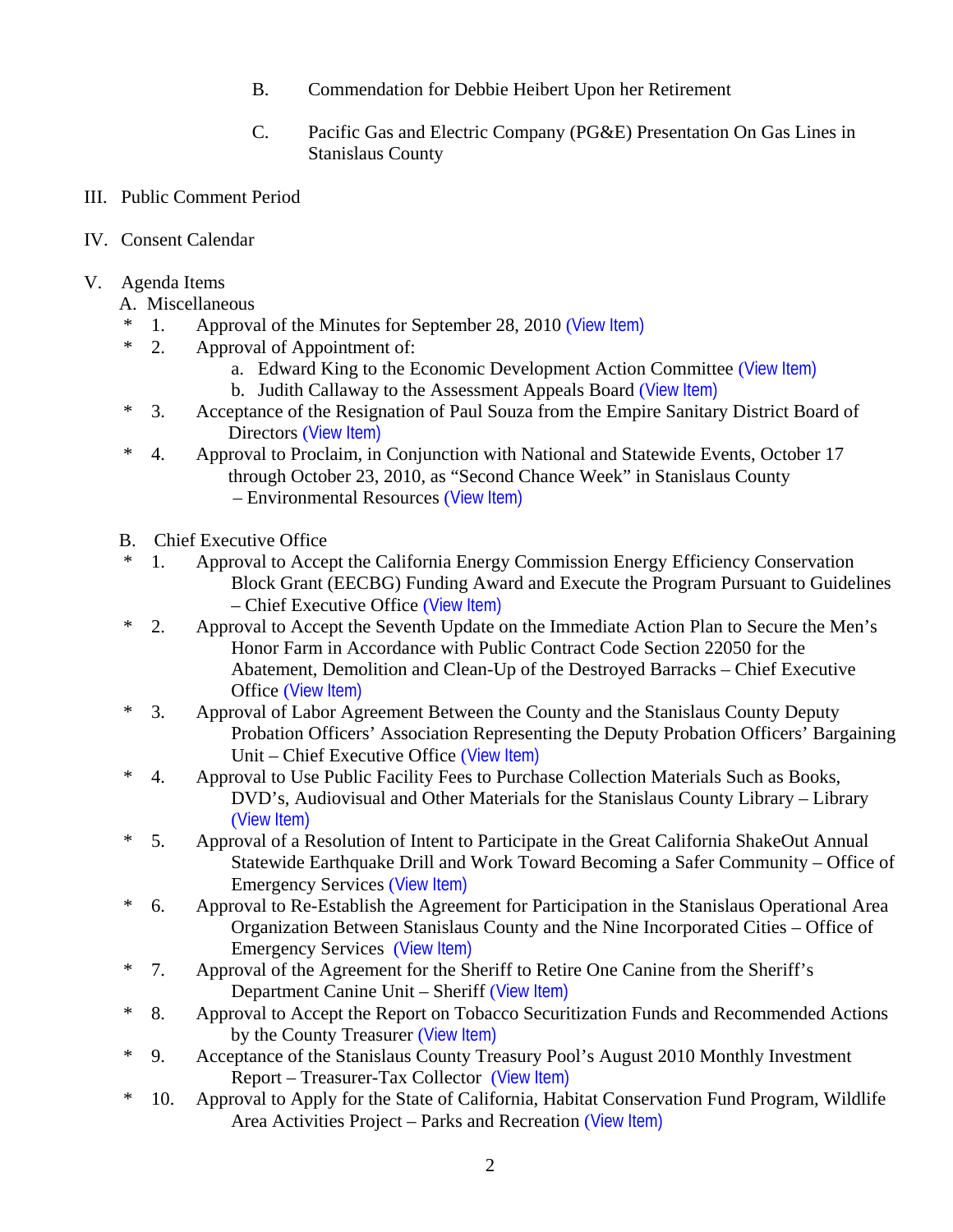- B. Commendation for Debbie Heibert Upon her Retirement
- C. Pacific Gas and Electric Company (PG&E) Presentation On Gas Lines in Stanislaus County
- III. Public Comment Period
- IV. Consent Calendar
- V. Agenda Items
	- A. Miscellaneous
	- \* 1. Approval of the Minutes for September 28, 2010 ([View Item\)](http://www.stancounty.com/bos/minutes/2010/min09-28-10.pdf)
	- \* 2. Approval of Appointment of:
		- a. Edward King to the Economic Development Action Committee ([View Item\)](http://www.stancounty.com/bos/agenda/2010/20101005/A02a.pdf)
		- b. Judith Callaway to the Assessment Appeals Board ([View Item\)](http://www.stancounty.com/bos/agenda/2010/20101005/A02b.pdf)
	- \* 3. Acceptance of the Resignation of Paul Souza from the Empire Sanitary District Board of Directors ([View Item\)](http://www.stancounty.com/bos/agenda/2010/20101005/A03.pdf)
	- \* 4. Approval to Proclaim, in Conjunction with National and Statewide Events, October 17 through October 23, 2010, as "Second Chance Week" in Stanislaus County – Environmental Resources ([View Item\)](http://www.stancounty.com/bos/agenda/2010/20101005/A04.pdf)
	- B. Chief Executive Office
	- \* 1. Approval to Accept the California Energy Commission Energy Efficiency Conservation Block Grant (EECBG) Funding Award and Execute the Program Pursuant to Guidelines – Chief Executive Office ([View Item\)](http://www.stancounty.com/bos/agenda/2010/20101005/B01.pdf)
	- \* 2. Approval to Accept the Seventh Update on the Immediate Action Plan to Secure the Men's Honor Farm in Accordance with Public Contract Code Section 22050 for the Abatement, Demolition and Clean-Up of the Destroyed Barracks – Chief Executive Office ([View Item\)](http://www.stancounty.com/bos/agenda/2010/20101005/B02.pdf)
	- \* 3. Approval of Labor Agreement Between the County and the Stanislaus County Deputy Probation Officers' Association Representing the Deputy Probation Officers' Bargaining Unit – Chief Executive Office ([View Item\)](http://www.stancounty.com/bos/agenda/2010/20101005/B03.pdf)
	- \* 4. Approval to Use Public Facility Fees to Purchase Collection Materials Such as Books, DVD's, Audiovisual and Other Materials for the Stanislaus County Library – Library ([View Item\)](http://www.stancounty.com/bos/agenda/2010/20101005/B04.pdf)
	- \* 5. Approval of a Resolution of Intent to Participate in the Great California ShakeOut Annual Statewide Earthquake Drill and Work Toward Becoming a Safer Community – Office of Emergency Services ([View Item\)](http://www.stancounty.com/bos/agenda/2010/20101005/B05.pdf)
	- \* 6. Approval to Re-Establish the Agreement for Participation in the Stanislaus Operational Area Organization Between Stanislaus County and the Nine Incorporated Cities – Office of Emergency Services ([View Item\)](http://www.stancounty.com/bos/agenda/2010/20101005/B06.pdf)
	- \* 7. Approval of the Agreement for the Sheriff to Retire One Canine from the Sheriff's Department Canine Unit – Sheriff ([View Item\)](http://www.stancounty.com/bos/agenda/2010/20101005/B07.pdf)
	- \* 8. Approval to Accept the Report on Tobacco Securitization Funds and Recommended Actions by the County Treasurer ([View Item\)](http://www.stancounty.com/bos/agenda/2010/20101005/B08.pdf)
	- \* 9. Acceptance of the Stanislaus County Treasury Pool's August 2010 Monthly Investment Report – Treasurer-Tax Collector ([View Item\)](http://www.stancounty.com/bos/agenda/2010/20101005/B09.pdf)
	- \* 10. Approval to Apply for the State of California, Habitat Conservation Fund Program, Wildlife Area Activities Project – Parks and Recreation ([View Item\)](http://www.stancounty.com/bos/agenda/2010/20101005/B10.pdf)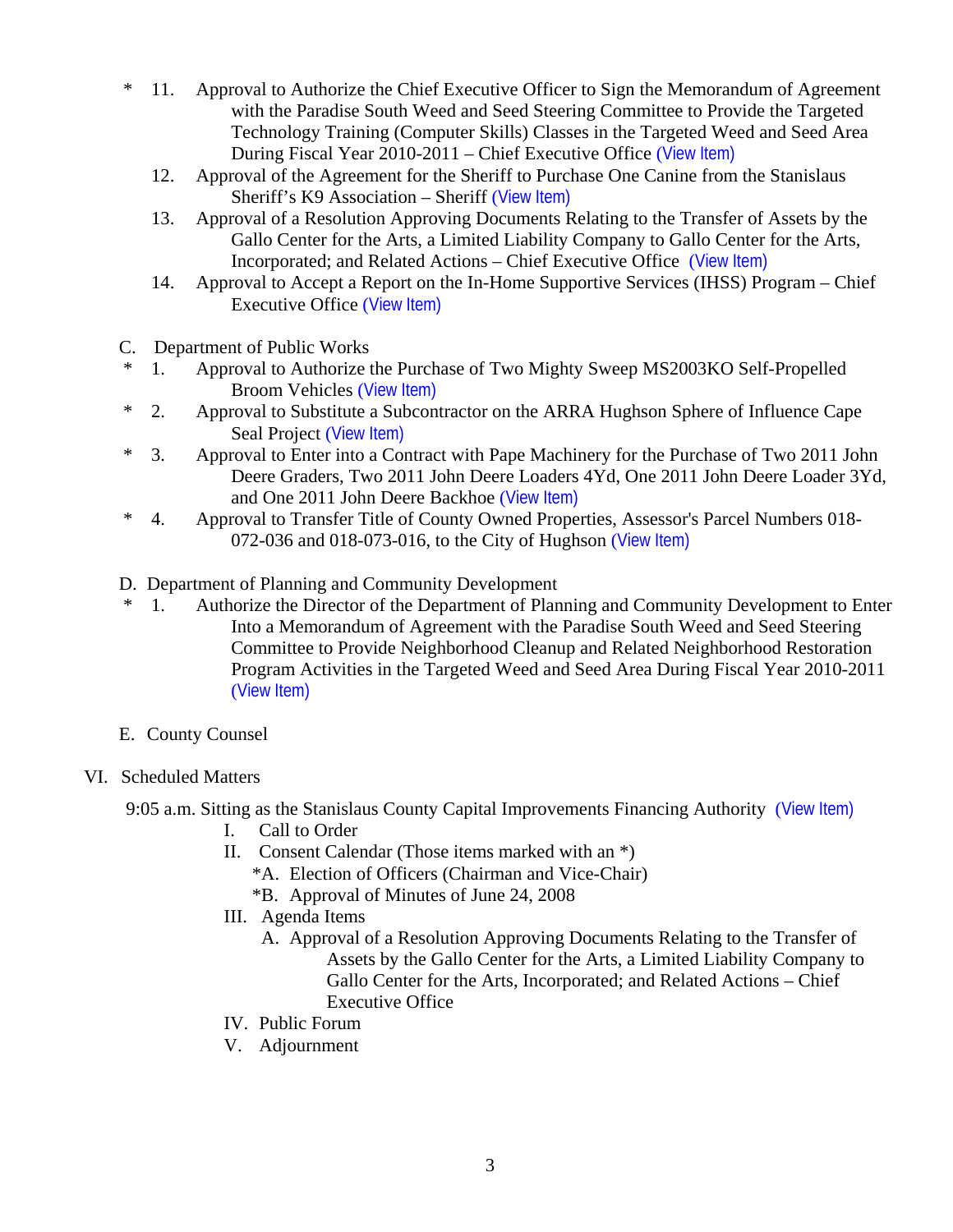- \* 11. Approval to Authorize the Chief Executive Officer to Sign the Memorandum of Agreement with the Paradise South Weed and Seed Steering Committee to Provide the Targeted Technology Training (Computer Skills) Classes in the Targeted Weed and Seed Area During Fiscal Year 2010-2011 – Chief Executive Office ([View Item\)](http://www.stancounty.com/bos/agenda/2010/20101005/B11.pdf)
	- 12. Approval of the Agreement for the Sheriff to Purchase One Canine from the Stanislaus Sheriff's K9 Association – Sheriff ([View Item\)](http://www.stancounty.com/bos/agenda/2010/20101005/B12.pdf)
	- 13. Approval of a Resolution Approving Documents Relating to the Transfer of Assets by the Gallo Center for the Arts, a Limited Liability Company to Gallo Center for the Arts, Incorporated; and Related Actions – Chief Executive Office ([View Item\)](http://www.stancounty.com/bos/agenda/2010/20101005/B13.pdf)
	- 14. Approval to Accept a Report on the In-Home Supportive Services (IHSS) Program Chief Executive Office ([View Item\)](http://www.stancounty.com/bos/agenda/2010/20101005/B14.pdf)
- C. Department of Public Works
- \* 1. Approval to Authorize the Purchase of Two Mighty Sweep MS2003KO Self-Propelled Broom Vehicles ([View Item\)](http://www.stancounty.com/bos/agenda/2010/20101005/C01.pdf)
- \* 2. Approval to Substitute a Subcontractor on the ARRA Hughson Sphere of Influence Cape Seal Project ([View Item\)](http://www.stancounty.com/bos/agenda/2010/20101005/C02.pdf)
- \* 3. Approval to Enter into a Contract with Pape Machinery for the Purchase of Two 2011 John Deere Graders, Two 2011 John Deere Loaders 4Yd, One 2011 John Deere Loader 3Yd, and One 2011 John Deere Backhoe ([View Item\)](http://www.stancounty.com/bos/agenda/2010/20101005/C03.pdf)
- \* 4. Approval to Transfer Title of County Owned Properties, Assessor's Parcel Numbers 018- 072-036 and 018-073-016, to the City of Hughson ([View Item\)](http://www.stancounty.com/bos/agenda/2010/20101005/C04.pdf)
- D. Department of Planning and Community Development
- \* 1. Authorize the Director of the Department of Planning and Community Development to Enter Into a Memorandum of Agreement with the Paradise South Weed and Seed Steering Committee to Provide Neighborhood Cleanup and Related Neighborhood Restoration Program Activities in the Targeted Weed and Seed Area During Fiscal Year 2010-2011 ([View Item\)](http://www.stancounty.com/bos/agenda/2010/20101005/D01.pdf)
- E. County Counsel

# VI. Scheduled Matters

9:05 a.m. Sitting as the Stanislaus County Capital Improvements Financing Authority ([View Item\)](http://www.stancounty.com/bos/agenda/2010/20101005/PH905.pdf)

- I. Call to Order
- II. Consent Calendar (Those items marked with an \*)
	- \*A. Election of Officers (Chairman and Vice-Chair)
	- \*B. Approval of Minutes of June 24, 2008
- III. Agenda Items
	- A. Approval of a Resolution Approving Documents Relating to the Transfer of Assets by the Gallo Center for the Arts, a Limited Liability Company to Gallo Center for the Arts, Incorporated; and Related Actions – Chief Executive Office
- IV. Public Forum
- V. Adjournment